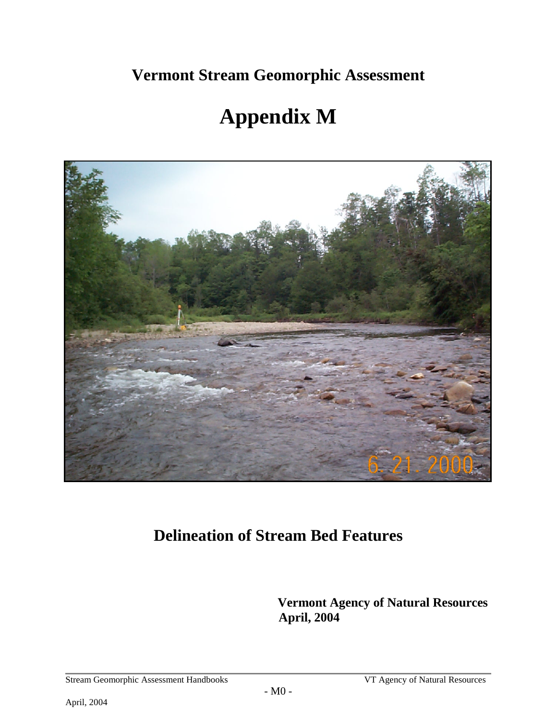**Vermont Stream Geomorphic Assessment** 

# **Appendix M**



## **Delineation of Stream Bed Features**

 **Vermont Agency of Natural Resources April, 2004**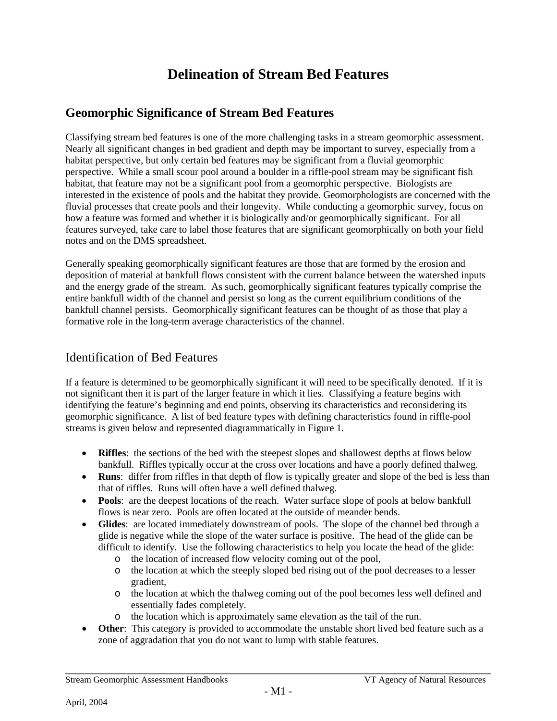## **Delineation of Stream Bed Features**

### **Geomorphic Significance of Stream Bed Features**

Classifying stream bed features is one of the more challenging tasks in a stream geomorphic assessment. Nearly all significant changes in bed gradient and depth may be important to survey, especially from a habitat perspective, but only certain bed features may be significant from a fluvial geomorphic perspective. While a small scour pool around a boulder in a riffle-pool stream may be significant fish habitat, that feature may not be a significant pool from a geomorphic perspective. Biologists are interested in the existence of pools and the habitat they provide. Geomorphologists are concerned with the fluvial processes that create pools and their longevity. While conducting a geomorphic survey, focus on how a feature was formed and whether it is biologically and/or geomorphically significant. For all features surveyed, take care to label those features that are significant geomorphically on both your field notes and on the DMS spreadsheet.

Generally speaking geomorphically significant features are those that are formed by the erosion and deposition of material at bankfull flows consistent with the current balance between the watershed inputs and the energy grade of the stream. As such, geomorphically significant features typically comprise the entire bankfull width of the channel and persist so long as the current equilibrium conditions of the bankfull channel persists. Geomorphically significant features can be thought of as those that play a formative role in the long-term average characteristics of the channel.

#### Identification of Bed Features

If a feature is determined to be geomorphically significant it will need to be specifically denoted. If it is not significant then it is part of the larger feature in which it lies. Classifying a feature begins with identifying the feature's beginning and end points, observing its characteristics and reconsidering its geomorphic significance. A list of bed feature types with defining characteristics found in riffle-pool streams is given below and represented diagrammatically in [Figure 1.](#page-2-0)

- **Riffles**: the sections of the bed with the steepest slopes and shallowest depths at flows below bankfull. Riffles typically occur at the cross over locations and have a poorly defined thalweg.
- **Runs**: differ from riffles in that depth of flow is typically greater and slope of the bed is less than that of riffles. Runs will often have a well defined thalweg.
- **Pools**: are the deepest locations of the reach. Water surface slope of pools at below bankfull flows is near zero. Pools are often located at the outside of meander bends.
- **Glides**: are located immediately downstream of pools. The slope of the channel bed through a glide is negative while the slope of the water surface is positive. The head of the glide can be difficult to identify. Use the following characteristics to help you locate the head of the glide:
	- o the location of increased flow velocity coming out of the pool,<br>
	o the location at which the steeply sloped bed rising out of the po
	- the location at which the steeply sloped bed rising out of the pool decreases to a lesser gradient,
	- o the location at which the thalweg coming out of the pool becomes less well defined and essentially fades completely.
	- o the location which is approximately same elevation as the tail of the run.
- **Other**: This category is provided to accommodate the unstable short lived bed feature such as a zone of aggradation that you do not want to lump with stable features.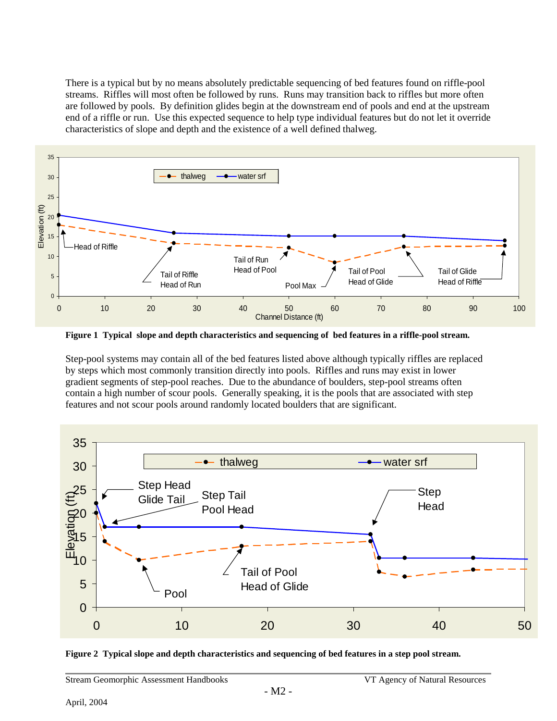There is a typical but by no means absolutely predictable sequencing of bed features found on riffle-pool streams. Riffles will most often be followed by runs. Runs may transition back to riffles but more often are followed by pools. By definition glides begin at the downstream end of pools and end at the upstream end of a riffle or run. Use this expected sequence to help type individual features but do not let it override characteristics of slope and depth and the existence of a well defined thalweg.



<span id="page-2-0"></span>**Figure 1 Typical slope and depth characteristics and sequencing of bed features in a riffle-pool stream.**

Step-pool systems may contain all of the bed features listed above although typically riffles are replaced by steps which most commonly transition directly into pools. Riffles and runs may exist in lower gradient segments of step-pool reaches. Due to the abundance of boulders, step-pool streams often contain a high number of scour pools. Generally speaking, it is the pools that are associated with step features and not scour pools around randomly located boulders that are significant.